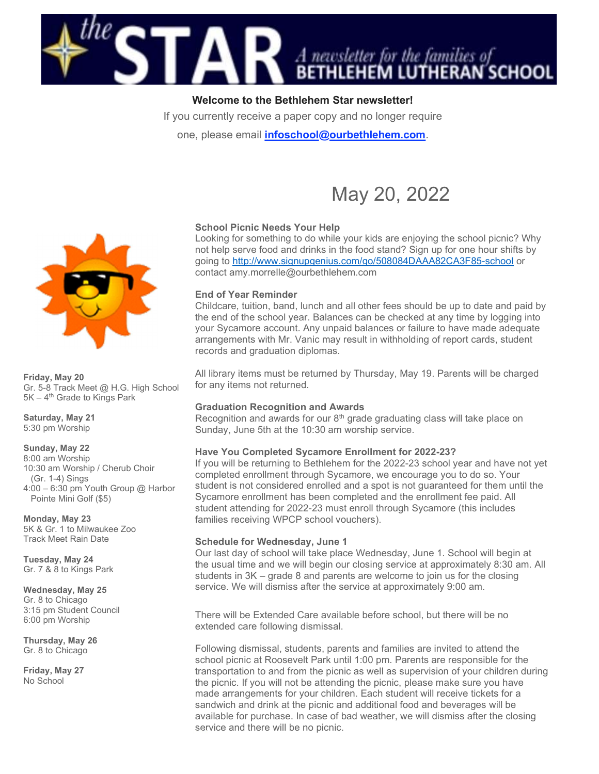

# Welcome to the Bethlehem Star newsletter!

If you currently receive a paper copy and no longer require

one, please email *infoschool@ourbethlehem.com.* 



### School Picnic Needs Your Help Looking for something to do while your kids are enjoying the school picnic? Why not help serve food and drinks in the food stand? Sign up for one hour shifts by going to http://www.signupgenius.com/go/508084DAAA82CA3F85-school or contact amy.morrelle@ourbethlehem.com

### End of Year Reminder

Childcare, tuition, band, lunch and all other fees should be up to date and paid by the end of the school year. Balances can be checked at any time by logging into your Sycamore account. Any unpaid balances or failure to have made adequate arrangements with Mr. Vanic may result in withholding of report cards, student records and graduation diplomas.

All library items must be returned by Thursday, May 19. Parents will be charged for any items not returned.

### Graduation Recognition and Awards

Recognition and awards for our  $8<sup>th</sup>$  grade graduating class will take place on Sunday, June 5th at the 10:30 am worship service.

### Have You Completed Sycamore Enrollment for 2022-23?

If you will be returning to Bethlehem for the 2022-23 school year and have not yet completed enrollment through Sycamore, we encourage you to do so. Your student is not considered enrolled and a spot is not guaranteed for them until the Sycamore enrollment has been completed and the enrollment fee paid. All student attending for 2022-23 must enroll through Sycamore (this includes families receiving WPCP school vouchers).

### Schedule for Wednesday, June 1

Our last day of school will take place Wednesday, June 1. School will begin at the usual time and we will begin our closing service at approximately 8:30 am. All students in 3K – grade 8 and parents are welcome to join us for the closing service. We will dismiss after the service at approximately 9:00 am.

There will be Extended Care available before school, but there will be no extended care following dismissal.

Following dismissal, students, parents and families are invited to attend the school picnic at Roosevelt Park until 1:00 pm. Parents are responsible for the transportation to and from the picnic as well as supervision of your children during the picnic. If you will not be attending the picnic, please make sure you have made arrangements for your children. Each student will receive tickets for a sandwich and drink at the picnic and additional food and beverages will be available for purchase. In case of bad weather, we will dismiss after the closing service and there will be no picnic.



#### Friday, May 20

Gr. 5-8 Track Meet @ H.G. High School  $5K - 4$ <sup>th</sup> Grade to Kings Park

Saturday, May 21 5:30 pm Worship

#### Sunday, May 22

8:00 am Worship 10:30 am Worship / Cherub Choir (Gr. 1-4) Sings 4:00 – 6:30 pm Youth Group @ Harbor Pointe Mini Golf (\$5)

Monday, May 23 5K & Gr. 1 to Milwaukee Zoo Track Meet Rain Date

Tuesday, May 24 Gr. 7 & 8 to Kings Park

Wednesday, May 25 Gr. 8 to Chicago 3:15 pm Student Council 6:00 pm Worship

Thursday, May 26 Gr. 8 to Chicago

Friday, May 27 No School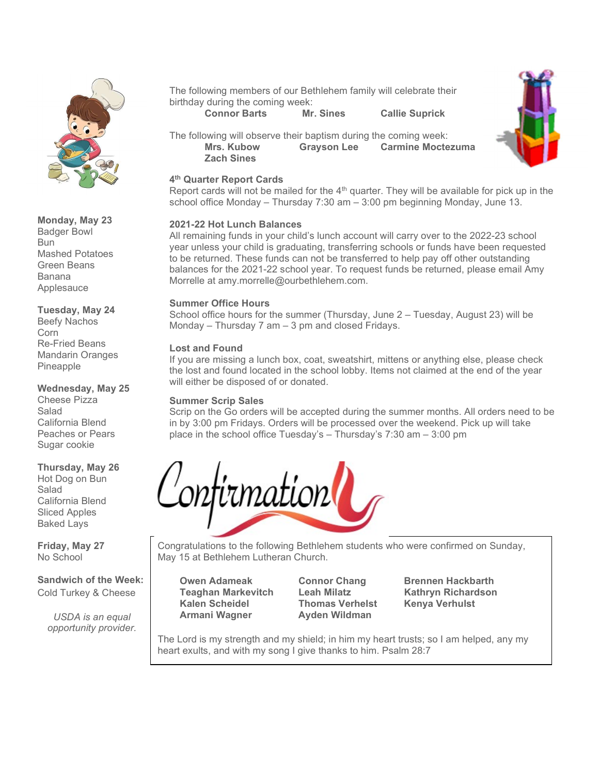

# Monday, May 23

Badger Bowl Bun Mashed Potatoes Green Beans Banana Applesauce

## Tuesday, May 24 Beefy Nachos Corn Re-Fried Beans

Mandarin Oranges Pineapple

#### Wednesday, May 25 Cheese Pizza Salad California Blend Peaches or Pears Sugar cookie

# Thursday, May 26

Hot Dog on Bun Salad California Blend Sliced Apples Baked Lays

Friday, May 27 No School

Sandwich of the Week: Cold Turkey & Cheese

USDA is an equal opportunity provider. The following members of our Bethlehem family will celebrate their birthday during the coming week:

Connor Barts Mr. Sines Callie Suprick



The following will observe their baptism during the coming week: Mrs. Kubow Grayson Lee Carmine Moctezuma Zach Sines

# 4 th Quarter Report Cards

Report cards will not be mailed for the  $4<sup>th</sup>$  quarter. They will be available for pick up in the school office Monday – Thursday 7:30 am – 3:00 pm beginning Monday, June 13.

# 2021-22 Hot Lunch Balances

All remaining funds in your child's lunch account will carry over to the 2022-23 school year unless your child is graduating, transferring schools or funds have been requested to be returned. These funds can not be transferred to help pay off other outstanding balances for the 2021-22 school year. To request funds be returned, please email Amy Morrelle at amy.morrelle@ourbethlehem.com.

# Summer Office Hours

School office hours for the summer (Thursday, June 2 – Tuesday, August 23) will be Monday – Thursday 7 am – 3 pm and closed Fridays.

# Lost and Found

If you are missing a lunch box, coat, sweatshirt, mittens or anything else, please check the lost and found located in the school lobby. Items not claimed at the end of the year will either be disposed of or donated.

# Summer Scrip Sales

Scrip on the Go orders will be accepted during the summer months. All orders need to be in by 3:00 pm Fridays. Orders will be processed over the weekend. Pick up will take place in the school office Tuesday's – Thursday's 7:30 am – 3:00 pm



Congratulations to the following Bethlehem students who were confirmed on Sunday, May 15 at Bethlehem Lutheran Church.

Owen Adameak Connor Chang Brennen Hackbarth<br>Teaghan Markevitch Leah Milatz Kathryn Richardson Teaghan Markevitch Leah Milatz Kathryn Richardson Kalen Scheidel Thomas Verhelst Kenya Verhulst Armani Wagner **Ayden Wildman** 

The Lord is my strength and my shield; in him my heart trusts; so I am helped, any my heart exults, and with my song I give thanks to him. Psalm 28:7